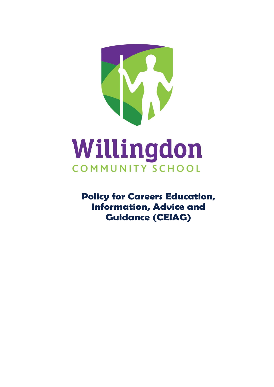

# COMMUNITY SCHOOL

**Policy for Careers Education, Information, Advice and Guidance (CEIAG)**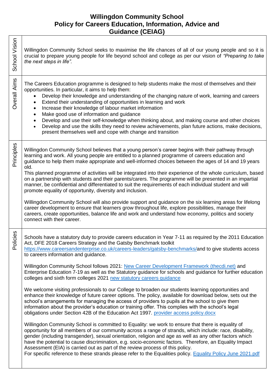# **Willingdon Community School Policy for Careers Education, Information, Advice and Guidance (CEIAG)**

| School Vision | Willingdon Community School seeks to maximise the life chances of all of our young people and so it is<br>crucial to prepare young people for life beyond school and college as per our vision of "Preparing to take<br>the next steps in life".                                                                                                                                                                                                                                                                                                                                                                                                                                                                                                                                                                                                                                                                                                                                                                                                                                                                                                                                                                                                                                                                                                                                                                                                                                                                                                                                                                                                                                                                                                                              |
|---------------|-------------------------------------------------------------------------------------------------------------------------------------------------------------------------------------------------------------------------------------------------------------------------------------------------------------------------------------------------------------------------------------------------------------------------------------------------------------------------------------------------------------------------------------------------------------------------------------------------------------------------------------------------------------------------------------------------------------------------------------------------------------------------------------------------------------------------------------------------------------------------------------------------------------------------------------------------------------------------------------------------------------------------------------------------------------------------------------------------------------------------------------------------------------------------------------------------------------------------------------------------------------------------------------------------------------------------------------------------------------------------------------------------------------------------------------------------------------------------------------------------------------------------------------------------------------------------------------------------------------------------------------------------------------------------------------------------------------------------------------------------------------------------------|
| Overall Aims  | The Careers Education programme is designed to help students make the most of themselves and their<br>opportunities. In particular, it aims to help them:<br>Develop their knowledge and understanding of the changing nature of work, learning and careers<br>Extend their understanding of opportunities in learning and work<br>$\bullet$<br>Increase their knowledge of labour market information<br>Make good use of information and guidance<br>$\bullet$<br>Develop and use their self-knowledge when thinking about, and making course and other choices<br>Develop and use the skills they need to review achievements, plan future actions, make decisions,<br>$\bullet$<br>present themselves well and cope with change and transition                                                                                                                                                                                                                                                                                                                                                                                                                                                                                                                                                                                                                                                                                                                                                                                                                                                                                                                                                                                                                             |
| Principles    | Willingdon Community School believes that a young person's career begins with their pathway through<br>learning and work. All young people are entitled to a planned programme of careers education and<br>guidance to help them make appropriate and well-informed choices between the ages of 14 and 19 years<br>old.<br>This planned programme of activities will be integrated into their experience of the whole curriculum, based<br>on a partnership with students and their parents/carers. The programme will be presented in an impartial<br>manner, be confidential and differentiated to suit the requirements of each individual student and will<br>promote equality of opportunity, diversity and inclusion.<br>Willingdon Community School will also provide support and guidance on the six learning areas for lifelong<br>career development to ensure that learners grow throughout life, explore possibilities, manage their<br>careers, create opportunities, balance life and work and understand how economy, politics and society<br>connect with their career.                                                                                                                                                                                                                                                                                                                                                                                                                                                                                                                                                                                                                                                                                       |
| Policies      | Schools have a statutory duty to provide careers education in Year 7-11 as required by the 2011 Education<br>Act, DFE 2018 Careers Strategy and the Gatsby Benchmark toolkit<br>https://www.careersandenterprise.co.uk/careers-leaders/gatsby-benchmarks/and to give students access<br>to careers information and guidance.<br>Willingdon Community School follows 2021: New Career Development Framework (thecdi.net) and<br>Enterprise Education 7-19 as well as the Statutory guidance for schools and guidance for further education<br>colleges and sixth form colleges 2021 new statutory careers guidance<br>We welcome visiting professionals to our College to broaden our students learning opportunities and<br>enhance their knowledge of future career options. The policy, available for download below, sets out the<br>school's arrangements for managing the access of providers to pupils at the school to give them<br>information about the provider's education or training offer. This complies with the school's legal<br>obligations under Section 42B of the Education Act 1997. provider access policy.docx<br>Willingdon Community School is committed to Equality: we work to ensure that there is equality of<br>opportunity for all members of our community across a range of strands, which include: race, disability,<br>gender (including transgender), sexual orientation, religion and age as well as any other factors which<br>have the potential to cause discrimination, e.g. socio-economic factors. Therefore, an Equality Impact<br>Assessment (EIA) is carried out as part of the review process of this policy.<br>For specific reference to these strands please refer to the Equalities policy. Equality Policy June 2021.pdf |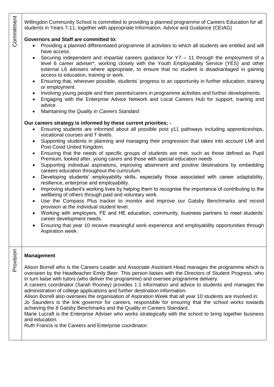Willingdon Community School is committed to providing a planned programme of Careers Education for all students in Years 7-11, together with appropriate Information, Advice and Guidance (CEIAG)

#### **Governors and Staff are committed to:**

- Providing a planned differentiated programme of activities to which all students are entitled and will have access.
- Securing independent and impartial careers guidance for Y7 11 through the employment of a level 6 career adviser\*, working closely with the Youth Employability Service (YES) and other external L6 advisers where appropriate, to ensure that no student is disadvantaged in gaining access to education, training or work.
- Ensuring that, wherever possible, students' progress to an opportunity in further education, training or employment.
- Involving young people and their parents/carers in programme activities and further developments.
- Engaging with the Enterprise Advice Network and Local Careers Hub for support, training and advice.
- Maintaining the *Quality in Careers Standard*

#### **Our careers strategy is informed by these current priorities; -**

- Ensuring students are informed about all possible post y11 pathways including apprenticeships, vocational courses and T levels.
- Supporting students in planning and managing their progression that takes into account LMI and Post Covid United Kingdom.
- Ensuring that the needs of specific groups of students are met, such as those defined as Pupil Premium, looked after, young carers and those with special education needs
- Supporting individual aspirations, improving attainment and positive destinations by embedding careers education throughout the curriculum.
- Developing students' employability skills, especially those associated with career adaptability, resilience, enterprise and employability.
- Improving student's working lives by helping them to recognise the importance of contributing to the wellbeing of others through paid and voluntary work.
- Use the Compass Plus tracker to monitor and improve our Gatsby Benchmarks and record provision at the individual student level.
- Working with employers, FE and HE education, community, business partners to meet students' career development needs.
- Ensuring that year 10 receive meaningful work experience and employability opportunities through Aspiration week.

# **Management**

Provision

Alison Borrell who is the Careers Leader and Associate Assistant Head manages the programme which is overseen by the Headteacher Emily Beer. This person liaises with the Directors of Student Progress, who in turn liaise with tutors (who deliver the programme) and oversee programme delivery.

A careers coordinator (Sarah Rooney) provides 1:1 information and advice to students and manages the administration of college applications and further destination information.

Alison Borrell also oversees the organisation of Aspiration Week that all year 10 students are involved in.

Jo Saunders is the link governor for careers, responsible for ensuring that the school works towards achieving the 8 Gatsby Benchmarks and the Quality in Careers Standard.

Marie Lucraft is the Enterprise Adviser who works strategically with the school to bring together business and education.

Ruth Francis is the Careers and Enterprise coordinator.

Commitment Commitment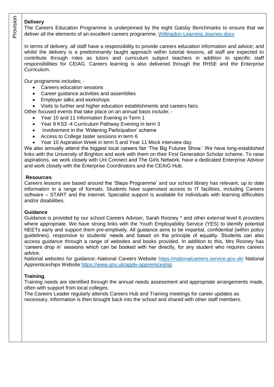#### **Delivery**

The Careers Education Programme is underpinned by the eight Gatsby Benchmarks to ensure that we deliver all the elements of an excellent careers programme. [Willingdon Learning Journey.docx](Willingdon%20Learning%20Journey.docx)

In terms of delivery, all staff have a responsibility to provide careers education information and advice; and whilst the delivery is a predominantly taught approach within tutorial lessons, all staff are expected to contribute through roles as tutors and curriculum subject teachers in addition to specific staff responsibilities for CEIAG. Careers learning is also delivered through the RHSE and the Enterprise Curriculum.

Our programme includes; -

- Careers education sessions
- Career guidance activities and assemblies
- Employer talks and workshops
- Visits to further and higher education establishments and careers fairs.

Other focused events that take place on an annual basis include; -

- Year 10 and 11 Information Evening in Term 1
- Year 9 KS3 -4 Curriculum Pathway Evening in term 3
- Involvement in the 'Widening Participation' scheme
- Access to College taster sessions in term 6
- Year 10 Aspiration Week in term 5 and Year 11 Mock interview day.

We also annually attend the biggest local careers fair 'The Big Futures Show.' We have long-established links with the University of Brighton and work with them on their First Generation Scholar scheme. To raise aspirations, we work closely with Uni Connect and The Girls Network, have a dedicated Enterprise Advisor and work closely with the Enterprise Coordinators and the CEAIG Hub.

# **Resources**

Careers lessons are based around the 'Steps Programme' and our school library has relevant, up to date information in a range of formats. Students have supervised access to IT facilities, including Careers software – START and the internet. Specialist support is available for individuals with learning difficulties and/or disabilities.

# **Guidance**

Guidance is provided by our school Careers Adviser, Sarah Rooney \* and other external level 6 providers where appropriate. We have strong links with the Youth Employability Service (YES) to identify potential NEETs early and support them pre-emptively. All guidance aims to be impartial, confidential (within policy guidelines), responsive to students' needs and based on the principle of equality. Students can also access guidance through a range of websites and books provided. In addition to this, Mrs Rooney has 'careers drop in' sessions which can be booked with her directly, for any student who requires careers advice.

National websites for guidance:-National Careers Website<https://nationalcareers.service.gov.uk/> National Apprenticeships Website<https://www.gov.uk/apply-apprenticeship>

# **Training**.

Training needs are identified through the annual needs assessment and appropriate arrangements made, often with support from local colleges.

The Careers Leader regularly attends Careers Hub and Training meetings for career updates as necessary. Information is then brought back into the school and shared with other staff members.

Provisio n